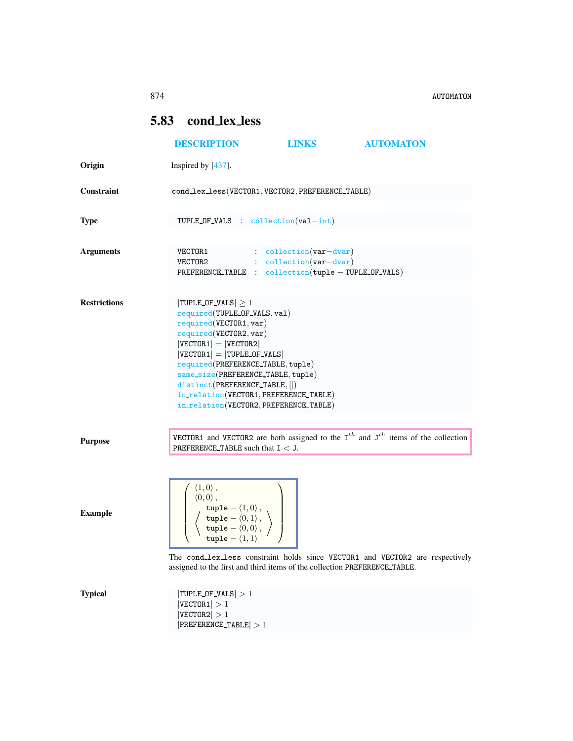874 AUTOMATON

## <span id="page-0-0"></span>5.83 cond lex less

|                     | <b>DESCRIPTION</b>                                                                                                                                                                                                                                                                                                                                                      | <b>LINKS</b>                                                             | <b>AUTOMATON</b>                                                                           |
|---------------------|-------------------------------------------------------------------------------------------------------------------------------------------------------------------------------------------------------------------------------------------------------------------------------------------------------------------------------------------------------------------------|--------------------------------------------------------------------------|--------------------------------------------------------------------------------------------|
| Origin              | Inspired by [437].                                                                                                                                                                                                                                                                                                                                                      |                                                                          |                                                                                            |
| <b>Constraint</b>   | cond_lex_less(VECTOR1, VECTOR2, PREFERENCE_TABLE)                                                                                                                                                                                                                                                                                                                       |                                                                          |                                                                                            |
| <b>Type</b>         | TUPLE_OF_VALS : $\text{collection}(val-int)$                                                                                                                                                                                                                                                                                                                            |                                                                          |                                                                                            |
| <b>Arguments</b>    | VECTOR1<br>VECTOR2<br>PREFERENCE_TABLE : collection(tuple - TUPLE_OF_VALS)                                                                                                                                                                                                                                                                                              | $\therefore$ collection (var-dvar)<br>$\therefore$ collection (var-dvar) |                                                                                            |
| <b>Restrictions</b> | TUPLE OF VALS $\geq 1$<br>required(TUPLE_OF_VALS, val)<br>required(VECTOR1, var)<br>required(VECTOR2, var)<br>$ VECTOR1  =  VECTOR2 $<br>$ VECTOR1  =  TIPLE_OF_VALS $<br>required(PREFERENCE_TABLE, tuple)<br>same_size(PREFERENCE_TABLE, tuple)<br>distinct(PREFERENCE_TABLE, [])<br>in_relation(VECTOR1, PREFERENCE_TABLE)<br>in_relation(VECTOR2, PREFERENCE_TABLE) |                                                                          |                                                                                            |
| <b>Purpose</b>      | PREFERENCE TABLE such that $I < J$ .                                                                                                                                                                                                                                                                                                                                    |                                                                          | VECTOR1 and VECTOR2 are both assigned to the $I^{th}$ and $J^{th}$ items of the collection |
| <b>Example</b>      | $\langle 1,0\rangle$ ,<br>$\langle 0,0\rangle$ ,<br>$\left\langle \begin{array}{c} \text{tuple} - \langle 1, 0 \rangle \, , \\ \text{tuple} - \langle 0, 1 \rangle \, , \\ \text{tuple} - \langle 0, 0 \rangle \, , \end{array} \right\rangle$<br>assigned to the first and third items of the collection PREFERENCE_TABLE.                                             |                                                                          | The cond_lex_less constraint holds since VECTOR1 and VECTOR2 are respectively              |
| <b>Typical</b>      | $ TUPLE_OF_VALS  > 1$<br>$ \texttt{VECTOR1} >1$<br> VECTOR2  > 1                                                                                                                                                                                                                                                                                                        |                                                                          |                                                                                            |

 $|PREFERENCE_TABLE| > 1$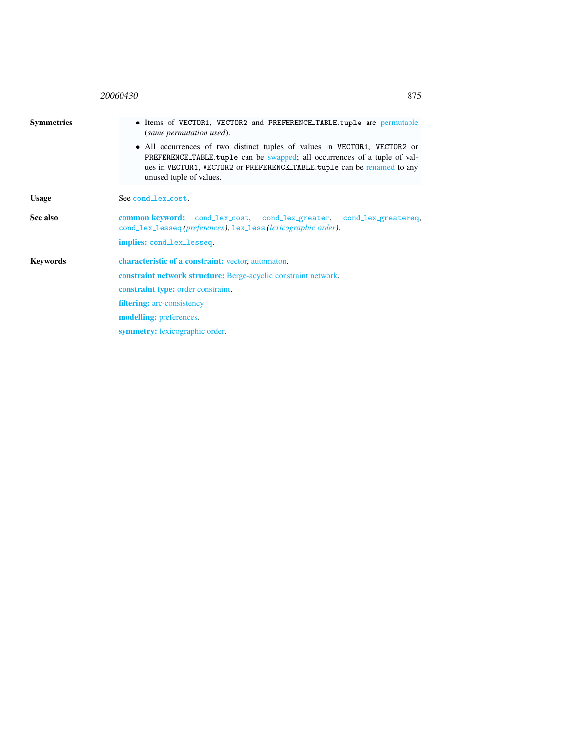<span id="page-1-0"></span>

|                   | 875<br>20060430                                                                                                                                                                                                                                                                                                                                                   |
|-------------------|-------------------------------------------------------------------------------------------------------------------------------------------------------------------------------------------------------------------------------------------------------------------------------------------------------------------------------------------------------------------|
| <b>Symmetries</b> | • Items of VECTOR1, VECTOR2 and PREFERENCE_TABLE.tuple are permutable<br>(same permutation used).<br>• All occurrences of two distinct tuples of values in VECTOR1, VECTOR2 or<br>PREFERENCE_TABLE.tuple can be swapped; all occurrences of a tuple of val-<br>ues in VECTOR1, VECTOR2 or PREFERENCE_TABLE.tuple can be renamed to any<br>unused tuple of values. |
| <b>Usage</b>      | See cond_lex_cost.                                                                                                                                                                                                                                                                                                                                                |
| See also          | common keyword: cond_lex_cost, cond_lex_greater, cond_lex_greatereq,<br>cond_lex_lesseq(preferences), lex_less(lexicographic order).                                                                                                                                                                                                                              |
|                   | implies: cond_lex_lesseq.                                                                                                                                                                                                                                                                                                                                         |
| <b>Keywords</b>   | characteristic of a constraint: vector, automaton.                                                                                                                                                                                                                                                                                                                |
|                   | <b>constraint network structure:</b> Berge-acyclic constraint network.                                                                                                                                                                                                                                                                                            |
|                   | <b>constraint type:</b> order constraint.                                                                                                                                                                                                                                                                                                                         |
|                   | <b>filtering:</b> arc-consistency.                                                                                                                                                                                                                                                                                                                                |
|                   | <b>modelling:</b> preferences.                                                                                                                                                                                                                                                                                                                                    |
|                   | <b>symmetry:</b> lexicographic order.                                                                                                                                                                                                                                                                                                                             |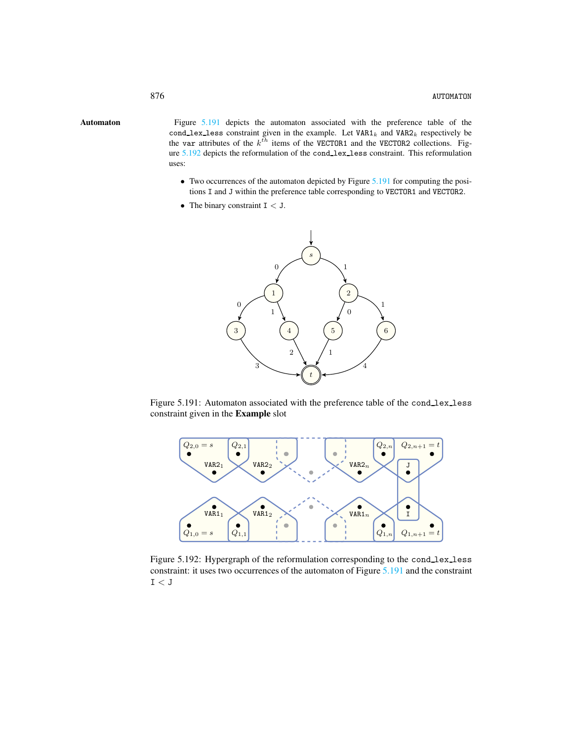Automaton Figure [5.191](#page-2-1) depicts the automaton associated with the preference table of the cond lex less constraint given in the example. Let  $VAR1_k$  and  $VAR2_k$  respectively be the var attributes of the  $k^{th}$  items of the VECTOR1 and the VECTOR2 collections. Figure [5.192](#page-2-2) depicts the reformulation of the cond lex less constraint. This reformulation uses:

- <span id="page-2-0"></span>• Two occurrences of the automaton depicted by Figure [5.191](#page-2-1) for computing the positions I and J within the preference table corresponding to VECTOR1 and VECTOR2.
- The binary constraint  $I < J$ .



Figure 5.191: Automaton associated with the preference table of the cond\_lex\_less constraint given in the Example slot

<span id="page-2-1"></span>

<span id="page-2-2"></span>Figure 5.192: Hypergraph of the reformulation corresponding to the cond\_lex\_less constraint: it uses two occurrences of the automaton of Figure [5.191](#page-2-1) and the constraint  $\mathtt{I} < \mathtt{J}$